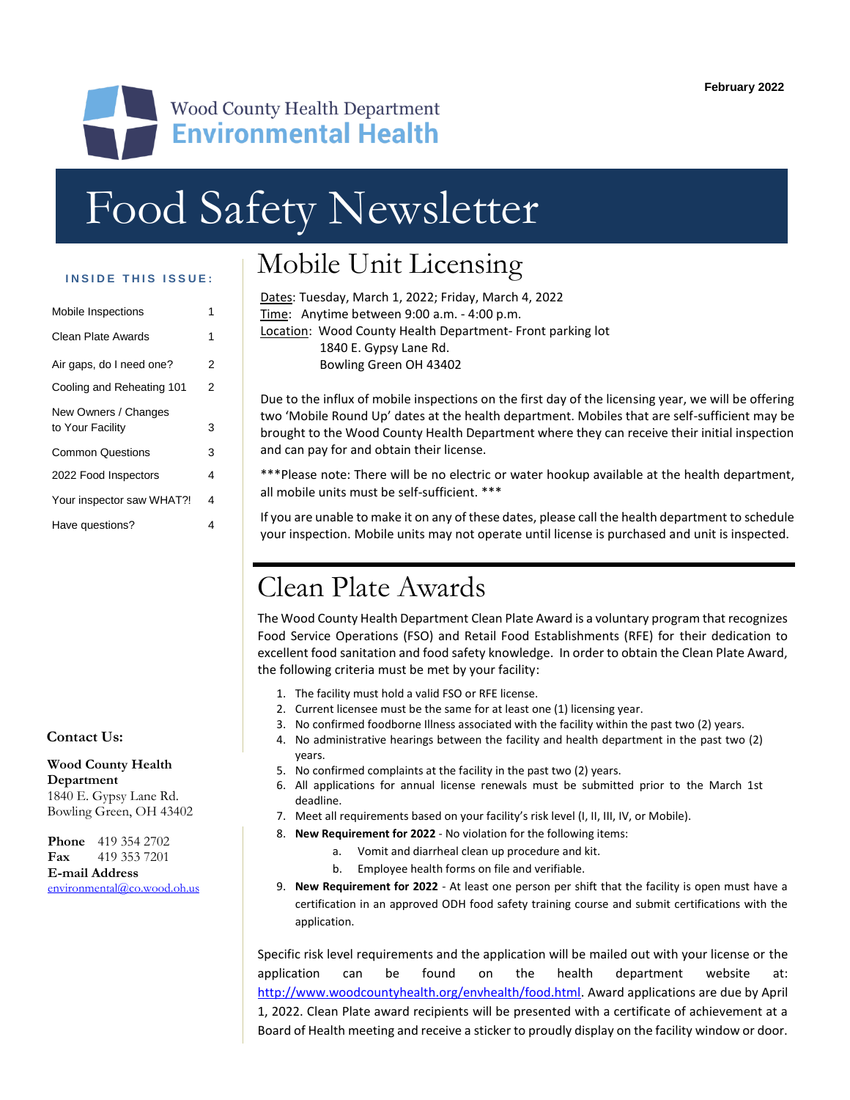

# Food Safety Newsletter

#### **INSIDE THIS ISSUE:**

| Mobile Inspections                       |   |
|------------------------------------------|---|
| Clean Plate Awards                       | 1 |
| Air gaps, do I need one?                 | 2 |
| Cooling and Reheating 101                | 2 |
| New Owners / Changes<br>to Your Facility | 3 |
| <b>Common Questions</b>                  | 3 |
| 2022 Food Inspectors                     | 4 |
| Your inspector saw WHAT?!                | 4 |
| Have questions?                          | 4 |

#### **Contact Us:**

**Wood County Health Wood County Health Department Department** 1840 E. Gypsy Lane Rd. 1840 E. Gypsy Lane Rd. Bowling Green, OH 43402 Bowling Green, OH 43402

**Phone** 419 354 2702 **Fax** 419 353 7201 **E-mail Address** [environmental@co.wood.oh.us](mailto:environmental@co.wood.oh.us)

### Mobile Unit Licensing

| Dates: Tuesday, March 1, 2022; Friday, March 4, 2022      |
|-----------------------------------------------------------|
| Time: Anytime between 9:00 a.m. - 4:00 p.m.               |
| Location: Wood County Health Department-Front parking lot |
| 1840 E. Gypsy Lane Rd.                                    |
| Bowling Green OH 43402                                    |
|                                                           |

Due to the influx of mobile inspections on the first day of the licensing year, we will be offering two 'Mobile Round Up' dates at the health department. Mobiles that are self-sufficient may be brought to the Wood County Health Department where they can receive their initial inspection and can pay for and obtain their license.

\*\*\*Please note: There will be no electric or water hookup available at the health department, all mobile units must be self-sufficient. \*\*\*

If you are unable to make it on any of these dates, please call the health department to schedule your inspection. Mobile units may not operate until license is purchased and unit is inspected.

### Clean Plate Awards

The Wood County Health Department Clean Plate Award is a voluntary program that recognizes Food Service Operations (FSO) and Retail Food Establishments (RFE) for their dedication to excellent food sanitation and food safety knowledge. In order to obtain the Clean Plate Award, the following criteria must be met by your facility:

- 1. The facility must hold a valid FSO or RFE license.
- 2. Current licensee must be the same for at least one (1) licensing year.
- 3. No confirmed foodborne Illness associated with the facility within the past two (2) years.
- 4. No administrative hearings between the facility and health department in the past two (2) years.
- 5. No confirmed complaints at the facility in the past two (2) years.
- 6. All applications for annual license renewals must be submitted prior to the March 1st deadline.
- 7. Meet all requirements based on your facility's risk level (I, II, III, IV, or Mobile).
- 8. **New Requirement for 2022** No violation for the following items:
	- a. Vomit and diarrheal clean up procedure and kit.
	- b. Employee health forms on file and verifiable.
- 9. **New Requirement for 2022** At least one person per shift that the facility is open must have a certification in an approved ODH food safety training course and submit certifications with the application.

Specific risk level requirements and the application will be mailed out with your license or the application can be found on the health department website at: [http://www.woodcountyhealth.org/envhealth/food.html.](http://www.woodcountyhealth.org/envhealth/food.html) Award applications are due by April 1, 2022. Clean Plate award recipients will be presented with a certificate of achievement at a Board of Health meeting and receive a sticker to proudly display on the facility window or door.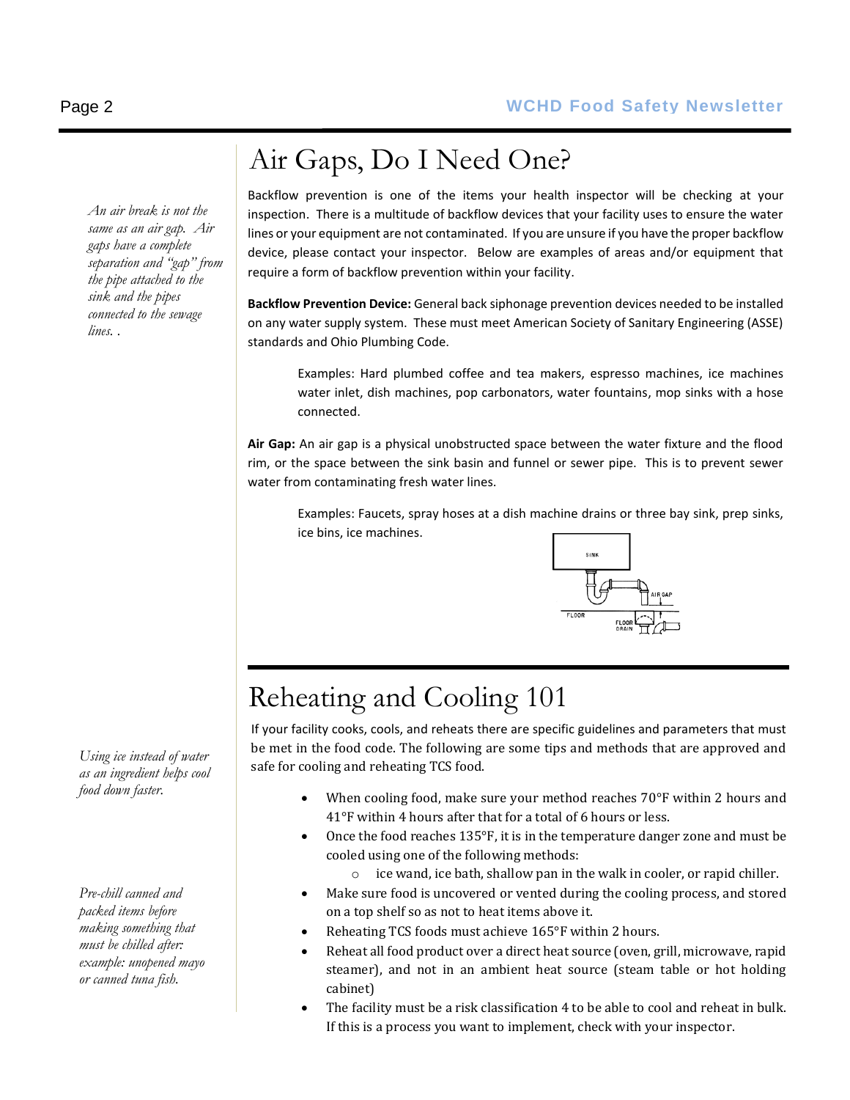*An air break is not the same as an air gap. Air gaps have a complete separation and "gap" from the pipe attached to the sink and the pipes connected to the sewage lines. .*

*Using ice instead of water as an ingredient helps cool food down faster.* 

*Pre-chill canned and packed items before making something that must be chilled after: example: unopened mayo or canned tuna fish.* 

# Air Gaps, Do I Need One?

Backflow prevention is one of the items your health inspector will be checking at your inspection. There is a multitude of backflow devices that your facility uses to ensure the water lines or your equipment are not contaminated. If you are unsure if you have the proper backflow device, please contact your inspector. Below are examples of areas and/or equipment that require a form of backflow prevention within your facility.

**Backflow Prevention Device:** General back siphonage prevention devices needed to be installed on any water supply system. These must meet American Society of Sanitary Engineering (ASSE) standards and Ohio Plumbing Code.

Examples: Hard plumbed coffee and tea makers, espresso machines, ice machines water inlet, dish machines, pop carbonators, water fountains, mop sinks with a hose connected.

**Air Gap:** An air gap is a physical unobstructed space between the water fixture and the flood rim, or the space between the sink basin and funnel or sewer pipe. This is to prevent sewer water from contaminating fresh water lines.

Examples: Faucets, spray hoses at a dish machine drains or three bay sink, prep sinks, ice bins, ice machines.



# Reheating and Cooling 101

If your facility cooks, cools, and reheats there are specific guidelines and parameters that must be met in the food code. The following are some tips and methods that are approved and safe for cooling and reheating TCS food.

- When cooling food, make sure your method reaches 70°F within 2 hours and 41°F within 4 hours after that for a total of 6 hours or less.
- Once the food reaches 135°F, it is in the temperature danger zone and must be cooled using one of the following methods:
	- o ice wand, ice bath, shallow pan in the walk in cooler, or rapid chiller.
- Make sure food is uncovered or vented during the cooling process, and stored on a top shelf so as not to heat items above it.
- Reheating TCS foods must achieve 165°F within 2 hours.
- Reheat all food product over a direct heat source (oven, grill, microwave, rapid steamer), and not in an ambient heat source (steam table or hot holding cabinet)
- The facility must be a risk classification 4 to be able to cool and reheat in bulk. If this is a process you want to implement, check with your inspector.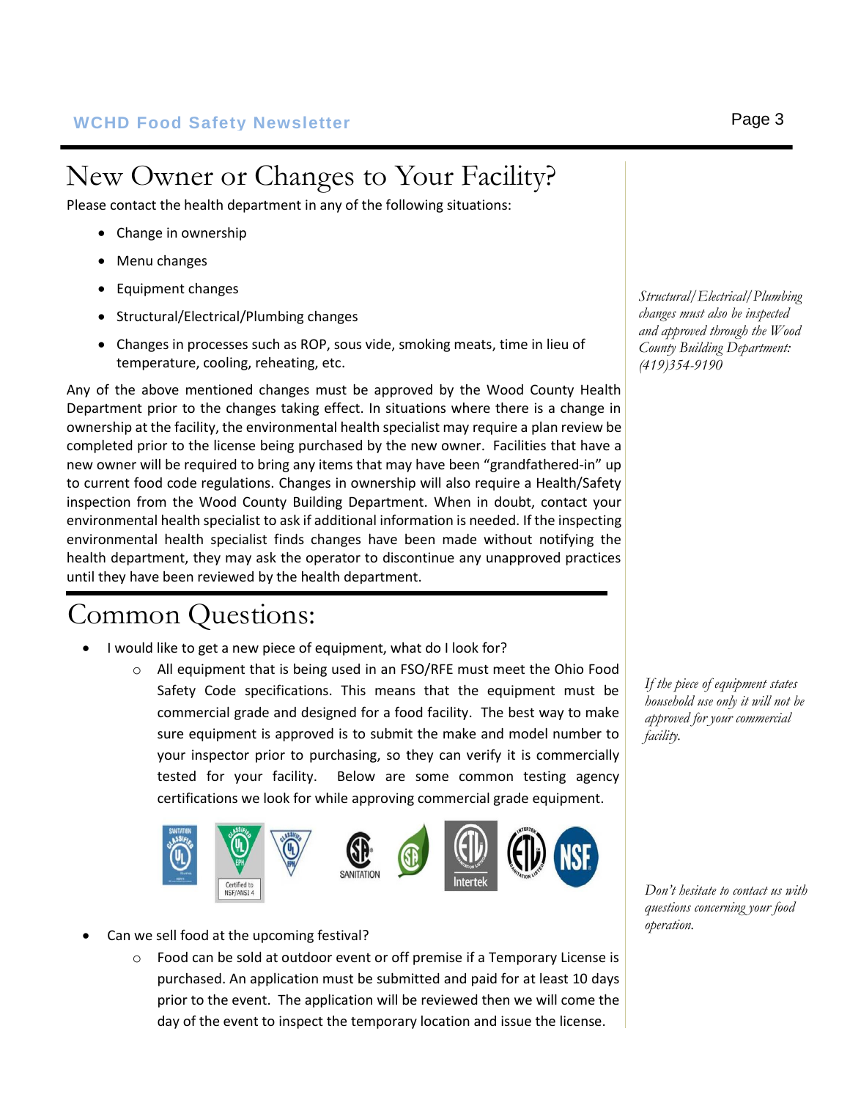# New Owner or Changes to Your Facility?

Please contact the health department in any of the following situations:

- Change in ownership
- Menu changes
- Equipment changes
- Structural/Electrical/Plumbing changes
- Changes in processes such as ROP, sous vide, smoking meats, time in lieu of temperature, cooling, reheating, etc.

Any of the above mentioned changes must be approved by the Wood County Health Department prior to the changes taking effect. In situations where there is a change in ownership at the facility, the environmental health specialist may require a plan review be completed prior to the license being purchased by the new owner. Facilities that have a new owner will be required to bring any items that may have been "grandfathered-in" up to current food code regulations. Changes in ownership will also require a Health/Safety inspection from the Wood County Building Department. When in doubt, contact your environmental health specialist to ask if additional information is needed. If the inspecting environmental health specialist finds changes have been made without notifying the health department, they may ask the operator to discontinue any unapproved practices until they have been reviewed by the health department.

### Common Questions:

- I would like to get a new piece of equipment, what do I look for?
	- $\circ$  All equipment that is being used in an FSO/RFE must meet the Ohio Food Safety Code specifications. This means that the equipment must be commercial grade and designed for a food facility. The best way to make sure equipment is approved is to submit the make and model number to your inspector prior to purchasing, so they can verify it is commercially tested for your facility. Below are some common testing agency certifications we look for while approving commercial grade equipment.



- Can we sell food at the upcoming festival?
	- $\circ$  Food can be sold at outdoor event or off premise if a Temporary License is purchased. An application must be submitted and paid for at least 10 days prior to the event. The application will be reviewed then we will come the day of the event to inspect the temporary location and issue the license.

*Structural/Electrical/Plumbing changes must also be inspected and approved through the Wood County Building Department: (419)354-9190*

*If the piece of equipment states household use only it will not be approved for your commercial facility.* 

*Don't hesitate to contact us with questions concerning your food operation.*